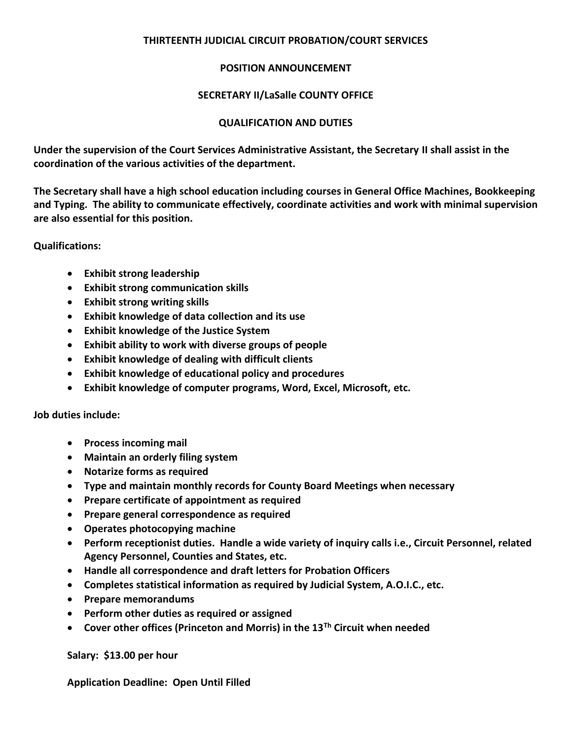# **THIRTEENTH JUDICIAL CIRCUIT PROBATION/COURT SERVICES**

## **POSITION ANNOUNCEMENT**

# **SECRETARY II/LaSalle COUNTY OFFICE**

## **QUALIFICATION AND DUTIES**

**Under the supervision of the Court Services Administrative Assistant, the Secretary II shall assist in the coordination of the various activities of the department.** 

**The Secretary shall have a high school education including courses in General Office Machines, Bookkeeping and Typing. The ability to communicate effectively, coordinate activities and work with minimal supervision are also essential for this position.** 

**Qualifications:** 

- **Exhibit strong leadership**
- **Exhibit strong communication skills**
- **Exhibit strong writing skills**
- **Exhibit knowledge of data collection and its use**
- **Exhibit knowledge of the Justice System**
- **Exhibit ability to work with diverse groups of people**
- **Exhibit knowledge of dealing with difficult clients**
- **Exhibit knowledge of educational policy and procedures**
- **Exhibit knowledge of computer programs, Word, Excel, Microsoft, etc.**

**Job duties include:**

- **Process incoming mail**
- **Maintain an orderly filing system**
- **Notarize forms as required**
- **Type and maintain monthly records for County Board Meetings when necessary**
- **Prepare certificate of appointment as required**
- **Prepare general correspondence as required**
- **Operates photocopying machine**
- **Perform receptionist duties. Handle a wide variety of inquiry calls i.e., Circuit Personnel, related Agency Personnel, Counties and States, etc.**
- **Handle all correspondence and draft letters for Probation Officers**
- **Completes statistical information as required by Judicial System, A.O.I.C., etc.**
- **Prepare memorandums**
- **Perform other duties as required or assigned**
- **Cover other offices (Princeton and Morris) in the 13Th Circuit when needed**

**Salary: \$13.00 per hour** 

**Application Deadline: Open Until Filled**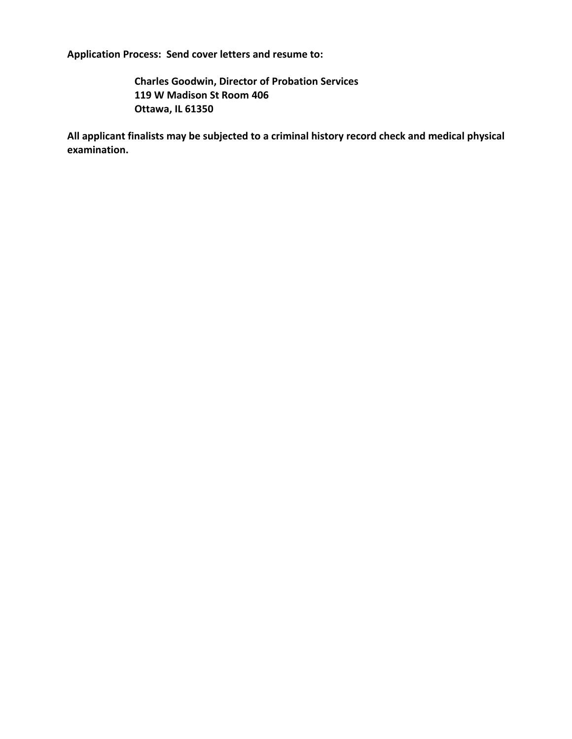**Application Process: Send cover letters and resume to:** 

**Charles Goodwin, Director of Probation Services 119 W Madison St Room 406 Ottawa, IL 61350** 

**All applicant finalists may be subjected to a criminal history record check and medical physical examination.**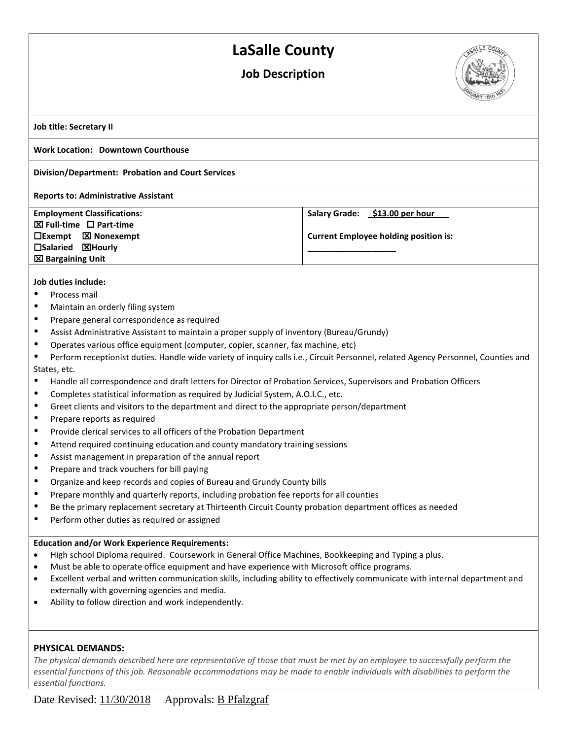# **LaSalle County**

# **Job Description**



**Job title: Secretary II**

#### **Work Location: Downtown Courthouse**

### **Division/Department: Probation and Court Services**

#### **Reports to: Administrative Assistant**

**Employment Classifications: EXI** Full-time □ Part-time **Exempt Nonexempt Salaried Hourly Bargaining Unit** 

**Salary Grade: \_\$13.00 per hour\_\_\_**

**\_\_\_\_\_\_\_\_\_\_\_\_\_\_\_\_\_\_\_**

**Current Employee holding position is:**

#### **Job duties include:**

- Process mail
- Maintain an orderly filing system
- Prepare general correspondence as required
- Assist Administrative Assistant to maintain a proper supply of inventory (Bureau/Grundy)
- Operates various office equipment (computer, copier, scanner, fax machine, etc)
- Perform receptionist duties. Handle wide variety of inquiry calls i.e., Circuit Personnel, related Agency Personnel, Counties and States, etc.
- Handle all correspondence and draft letters for Director of Probation Services, Supervisors and Probation Officers
- Completes statistical information as required by Judicial System, A.O.I.C., etc.
- Greet clients and visitors to the department and direct to the appropriate person/department
- Prepare reports as required
- **•** Provide clerical services to all officers of the Probation Department
- Attend required continuing education and county mandatory training sessions
- Assist management in preparation of the annual report
- Prepare and track vouchers for bill paying
- Organize and keep records and copies of Bureau and Grundy County bills
- Prepare monthly and quarterly reports, including probation fee reports for all counties
- Be the primary replacement secretary at Thirteenth Circuit County probation department offices as needed
- Perform other duties as required or assigned

#### **Education and/or Work Experience Requirements:**

- High school Diploma required. Coursework in General Office Machines, Bookkeeping and Typing a plus.
- Must be able to operate office equipment and have experience with Microsoft office programs.
- Excellent verbal and written communication skills, including ability to effectively communicate with internal department and externally with governing agencies and media.
- Ability to follow direction and work independently.

## **PHYSICAL DEMANDS:**

*The physical demands described here are representative of those that must be met by an employee to successfully perform the essential functions of this job. Reasonable accommodations may be made to enable individuals with disabilities to perform the essential functions.*